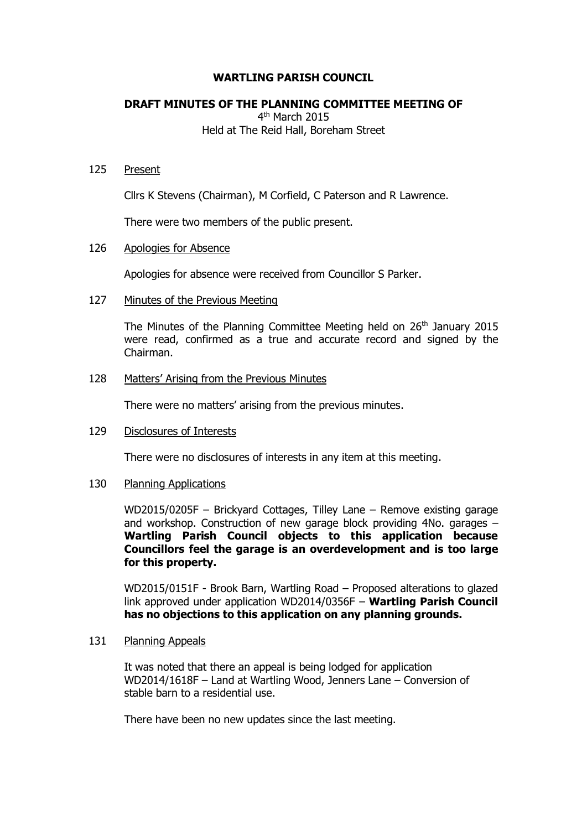# **WARTLING PARISH COUNCIL**

# **DRAFT MINUTES OF THE PLANNING COMMITTEE MEETING OF**

4<sup>th</sup> March 2015 Held at The Reid Hall, Boreham Street

# 125 Present

Cllrs K Stevens (Chairman), M Corfield, C Paterson and R Lawrence.

There were two members of the public present.

# 126 Apologies for Absence

Apologies for absence were received from Councillor S Parker.

# 127 Minutes of the Previous Meeting

The Minutes of the Planning Committee Meeting held on  $26<sup>th</sup>$  January 2015 were read, confirmed as a true and accurate record and signed by the Chairman.

#### 128 Matters' Arising from the Previous Minutes

There were no matters' arising from the previous minutes.

# 129 Disclosures of Interests

There were no disclosures of interests in any item at this meeting.

#### 130 Planning Applications

WD2015/0205F – Brickyard Cottages, Tilley Lane – Remove existing garage and workshop. Construction of new garage block providing 4No. garages – **Wartling Parish Council objects to this application because Councillors feel the garage is an overdevelopment and is too large for this property.**

WD2015/0151F - Brook Barn, Wartling Road – Proposed alterations to glazed link approved under application WD2014/0356F – **Wartling Parish Council has no objections to this application on any planning grounds.**

#### 131 Planning Appeals

It was noted that there an appeal is being lodged for application WD2014/1618F – Land at Wartling Wood, Jenners Lane – Conversion of stable barn to a residential use.

There have been no new updates since the last meeting.